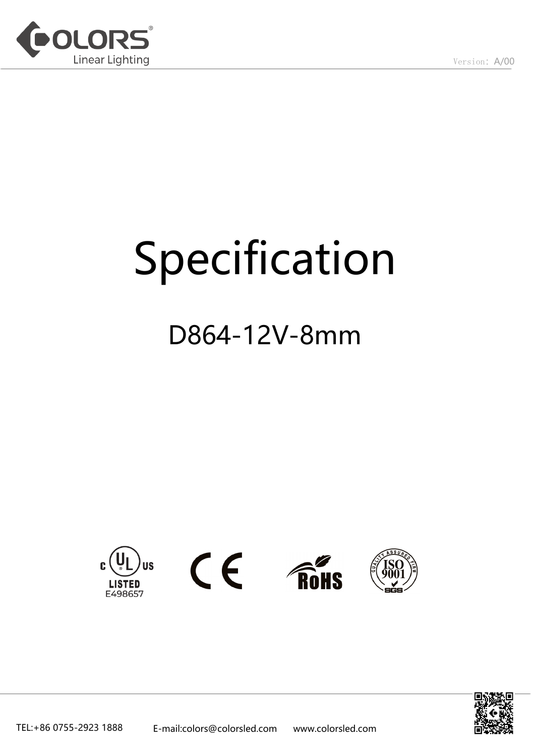

# Specification

## D864-12V-8mm



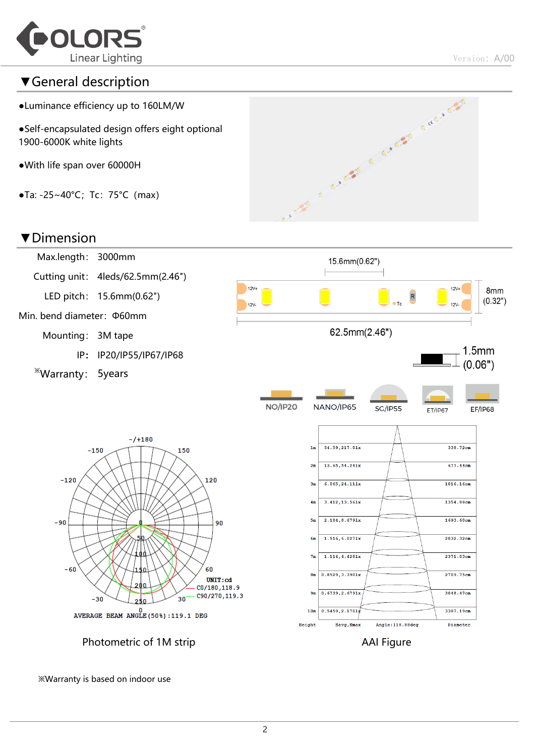

#### ▼General description

- ●Luminance efficiency up to 160LM/W
- ●Self-encapsulated design offers eight optional 1900-6000K white lights
- ●With life span over 60000H
- $\bullet$ Ta: -25~40°C; Tc: 75°C (max)



#### ▼Dimension



※Warranty is based on indoor use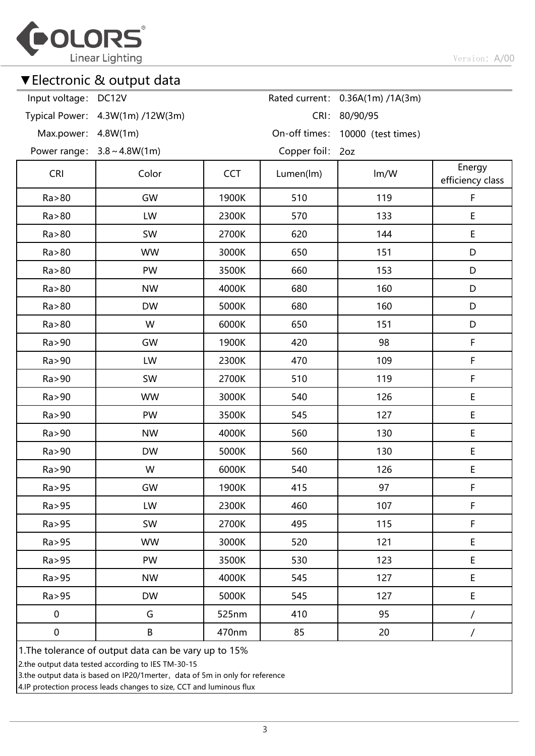

### ▼Electronic & output data

| Input voltage: DC12V                                  |                                  |            |                  | Rated current: 0.36A(1m) /1A(3m) |                            |  |  |  |
|-------------------------------------------------------|----------------------------------|------------|------------------|----------------------------------|----------------------------|--|--|--|
|                                                       | Typical Power: 4.3W(1m) /12W(3m) |            | CRI:             | 80/90/95                         |                            |  |  |  |
| Max.power: 4.8W(1m)                                   |                                  |            |                  | On-off times: 10000 (test times) |                            |  |  |  |
|                                                       | Power range: $3.8 \sim 4.8W(1m)$ |            | Copper foil: 2oz |                                  |                            |  |  |  |
| <b>CRI</b>                                            | Color                            | <b>CCT</b> | Lumen(lm)        | Im/W                             | Energy<br>efficiency class |  |  |  |
| Ra > 80                                               | GW                               | 1900K      | 510              | 119                              | F                          |  |  |  |
| Ra > 80                                               | LW                               | 2300K      | 570              | 133                              | $\sf E$                    |  |  |  |
| Ra > 80                                               | <b>SW</b>                        | 2700K      | 620              | 144                              | $\sf E$                    |  |  |  |
| Ra > 80                                               | <b>WW</b>                        | 3000K      | 650              | 151                              | D                          |  |  |  |
| Ra > 80                                               | PW                               | 3500K      | 660              | 153                              | D                          |  |  |  |
| Ra > 80                                               | <b>NW</b>                        | 4000K      | 680              | 160                              | D                          |  |  |  |
| Ra > 80                                               | <b>DW</b>                        | 5000K      | 680              | 160                              | D                          |  |  |  |
| Ra > 80                                               | W                                | 6000K      | 650              | 151                              | D                          |  |  |  |
| Ra > 90                                               | GW                               | 1900K      | 420              | 98                               | F                          |  |  |  |
| Ra>90                                                 | LW                               | 2300K      | 470              | 109                              | F                          |  |  |  |
| Ra > 90                                               | SW                               | 2700K      | 510              | 119                              | F                          |  |  |  |
| Ra > 90                                               | <b>WW</b>                        | 3000K      | 540              | 126                              | $\sf E$                    |  |  |  |
| Ra>90                                                 | PW                               | 3500K      | 545              | 127                              | $\mathsf E$                |  |  |  |
| Ra>90                                                 | <b>NW</b>                        | 4000K      | 560              | 130                              | E                          |  |  |  |
| Ra > 90                                               | <b>DW</b>                        | 5000K      | 560              | 130                              | E                          |  |  |  |
| Ra > 90                                               | W                                | 6000K      | 540              | 126                              | $\mathsf E$                |  |  |  |
| Ra > 95                                               | GW                               | 1900K      | 415              | 97                               | F                          |  |  |  |
| Ra > 95                                               | LW                               | 2300K      | 460              | 107                              | F                          |  |  |  |
| Ra > 95                                               | SW                               | 2700K      | 495              | 115                              | F                          |  |  |  |
| Ra > 95                                               | <b>WW</b>                        | 3000K      | 520              | 121                              | $\mathsf E$                |  |  |  |
| Ra > 95                                               | PW                               | 3500K      | 530              | 123                              | $\mathsf E$                |  |  |  |
| Ra > 95                                               | <b>NW</b>                        | 4000K      | 545              | 127                              | E                          |  |  |  |
| Ra > 95                                               | <b>DW</b>                        | 5000K      | 545              | 127                              | E                          |  |  |  |
| $\pmb{0}$                                             | G                                | 525nm      | 410              | 95                               |                            |  |  |  |
| $\pmb{0}$                                             | B                                | 470nm      | 85               | 20                               | $\overline{ }$             |  |  |  |
| 1. The tolerance of output data can be vary up to 15% |                                  |            |                  |                                  |                            |  |  |  |

2.the output data tested according to IES TM-30-15

3.the output data is based on IP20/1merter, data of 5m in only for reference

4.IP protection process leads changes to size, CCT and luminous flux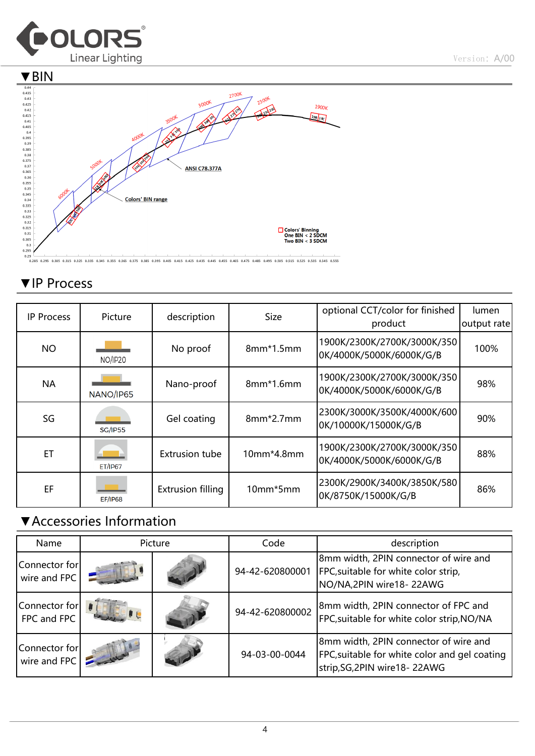



## ▼IP Process

| <b>IP Process</b> | Picture        | description              | <b>Size</b> | optional CCT/color for finished<br>product              | lumen<br>output rate |
|-------------------|----------------|--------------------------|-------------|---------------------------------------------------------|----------------------|
| <b>NO</b>         | <b>NO/IP20</b> | No proof                 | $8mm*1.5mm$ | 1900K/2300K/2700K/3000K/350<br>0K/4000K/5000K/6000K/G/B | 100%                 |
| <b>NA</b>         | NANO/IP65      | Nano-proof               | $8mm*1.6mm$ | 1900K/2300K/2700K/3000K/350<br>0K/4000K/5000K/6000K/G/B | 98%                  |
| SG                | <b>SG/IP55</b> | Gel coating              | 8mm*2.7mm   | 2300K/3000K/3500K/4000K/600<br>0K/10000K/15000K/G/B     | 90%                  |
| ЕT                | <b>ET/IP67</b> | <b>Extrusion tube</b>    | 10mm*4.8mm  | 1900K/2300K/2700K/3000K/350<br>0K/4000K/5000K/6000K/G/B | 88%                  |
| EF                | <b>EF/IP68</b> | <b>Extrusion filling</b> | 10mm*5mm    | 2300K/2900K/3400K/3850K/580<br>0K/8750K/15000K/G/B      | 86%                  |

## ▼Accessories Information

| Name                          | Picture |  | Code            | description                                                                                                             |
|-------------------------------|---------|--|-----------------|-------------------------------------------------------------------------------------------------------------------------|
| Connector for<br>wire and FPC |         |  | 94-42-620800001 | 8mm width, 2PIN connector of wire and<br>FPC, suitable for white color strip,<br>NO/NA, 2PIN wire 18-22AWG              |
| Connector for<br>FPC and FPC  |         |  | 94-42-620800002 | 8mm width, 2PIN connector of FPC and<br>FPC, suitable for white color strip, NO/NA                                      |
| Connector for<br>wire and FPC |         |  | 94-03-00-0044   | 8mm width, 2PIN connector of wire and<br>FPC, suitable for white color and gel coating<br>strip, SG, 2PIN wire 18-22AWG |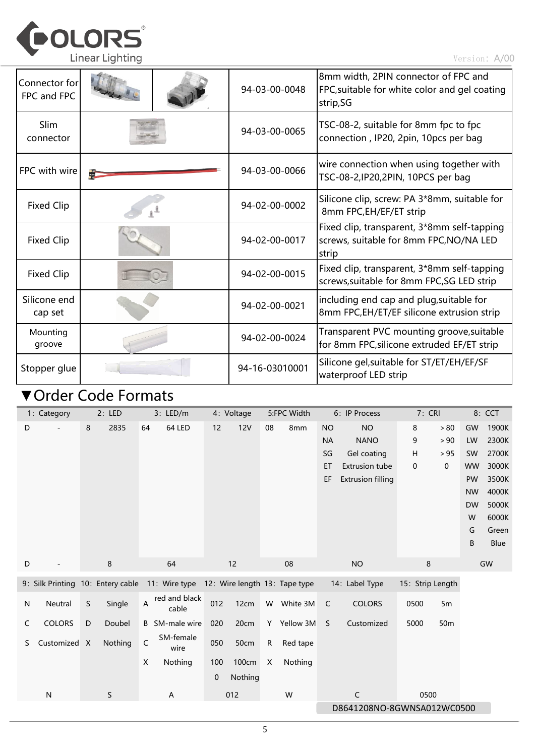

| Connector for<br>FPC and FPC |  | 94-03-00-0048  | 8mm width, 2PIN connector of FPC and<br>FPC, suitable for white color and gel coating<br>strip, SG |
|------------------------------|--|----------------|----------------------------------------------------------------------------------------------------|
| Slim<br>connector            |  | 94-03-00-0065  | TSC-08-2, suitable for 8mm fpc to fpc<br>connection, IP20, 2pin, 10pcs per bag                     |
| FPC with wire                |  | 94-03-00-0066  | wire connection when using together with<br>TSC-08-2, IP20, 2PIN, 10PCS per bag                    |
| <b>Fixed Clip</b>            |  | 94-02-00-0002  | Silicone clip, screw: PA 3*8mm, suitable for<br>8mm FPC, EH/EF/ET strip                            |
| <b>Fixed Clip</b>            |  | 94-02-00-0017  | Fixed clip, transparent, 3*8mm self-tapping<br>screws, suitable for 8mm FPC, NO/NA LED<br>strip    |
| <b>Fixed Clip</b>            |  | 94-02-00-0015  | Fixed clip, transparent, 3*8mm self-tapping<br>screws, suitable for 8mm FPC, SG LED strip          |
| Silicone end<br>cap set      |  | 94-02-00-0021  | including end cap and plug, suitable for<br>8mm FPC, EH/ET/EF silicone extrusion strip             |
| Mounting<br>groove           |  | 94-02-00-0024  | Transparent PVC mounting groove, suitable<br>for 8mm FPC, silicone extruded EF/ET strip            |
| Stopper glue                 |  | 94-16-03010001 | Silicone gel, suitable for ST/ET/EH/EF/SF<br>waterproof LED strip                                  |

## ▼Order Code Formats

|   | 1: Category   | 2: LED                            | 3: LED/m                                            | 4: Voltage                    | 5:FPC Width                | 6: IP Process                  | 7: CRI                  | 8: CCT             |
|---|---------------|-----------------------------------|-----------------------------------------------------|-------------------------------|----------------------------|--------------------------------|-------------------------|--------------------|
| D |               | 2835<br>8                         | 64 LED<br>64                                        | 12<br><b>12V</b>              | 08<br>8 <sub>mm</sub>      | <b>NO</b><br><b>NO</b>         | 8<br>$>80$              | 1900K<br>GW        |
|   |               |                                   |                                                     |                               |                            | <b>NA</b><br><b>NANO</b>       | 9<br>> 90               | 2300K<br>LW        |
|   |               |                                   |                                                     |                               |                            | Gel coating<br>SG              | Н<br>> 95               | 2700K<br><b>SW</b> |
|   |               |                                   |                                                     |                               |                            | <b>Extrusion tube</b><br>ET    | 0<br>$\mathbf 0$        | 3000K<br><b>WW</b> |
|   |               |                                   |                                                     |                               |                            | <b>Extrusion filling</b><br>EF |                         | 3500K<br>PW        |
|   |               |                                   |                                                     |                               |                            |                                |                         | 4000K<br><b>NW</b> |
|   |               |                                   |                                                     |                               |                            |                                |                         | 5000K<br><b>DW</b> |
|   |               |                                   |                                                     |                               |                            |                                |                         | 6000K<br>W         |
|   |               |                                   |                                                     |                               |                            |                                |                         | Green<br>G         |
|   |               |                                   |                                                     |                               |                            |                                |                         | Blue<br>B          |
| D |               | 8                                 | 64                                                  | 12                            | 08                         | <b>NO</b>                      | 8                       | GW                 |
|   |               | 9: Silk Printing 10: Entery cable | 11: Wire type                                       | 12: Wire length 13: Tape type |                            | 14: Label Type                 | 15: Strip Length        |                    |
| N | Neutral       | S<br>Single                       | red and black<br>$\boldsymbol{\mathsf{A}}$<br>cable | 012<br>12cm                   | White 3M<br>W              | <b>COLORS</b><br>$\mathsf{C}$  | 0500<br>5m              |                    |
| C | <b>COLORS</b> | D<br>Doubel                       | <b>B</b> SM-male wire                               | 20cm<br>020                   | Y Yellow 3M                | Customized<br>S                | 5000<br>50 <sub>m</sub> |                    |
| S | Customized X  | Nothing                           | SM-female<br>$\mathsf C$<br>wire                    | 050<br>50cm                   | ${\sf R}$<br>Red tape      |                                |                         |                    |
|   |               |                                   | X<br>Nothing                                        | 100cm<br>100                  | X<br>Nothing               |                                |                         |                    |
|   |               |                                   |                                                     | 0<br>Nothing                  |                            |                                |                         |                    |
|   | ${\sf N}$     | $\mathsf S$                       | Α                                                   | 012                           | W                          | C                              | 0500                    |                    |
|   |               |                                   |                                                     |                               | D8641208NO-8GWNSA012WC0500 |                                |                         |                    |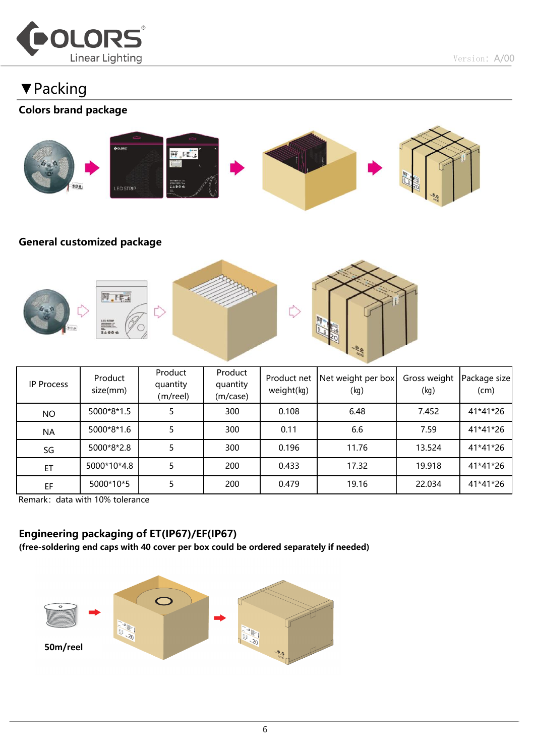

Version: A/00

## ▼Packing

#### Colors brand package



#### General customized package



| IP Process | Product<br>size(mm) | Product<br>quantity<br>(m/reel) | Product<br>quantity<br>(m/case) | Product net<br>weight(kg) | Net weight per box<br>(kg) | Gross weight<br>(kg) | Package size<br>(cm) |
|------------|---------------------|---------------------------------|---------------------------------|---------------------------|----------------------------|----------------------|----------------------|
| <b>NO</b>  | 5000*8*1.5          |                                 | 300                             | 0.108                     | 6.48                       | 7.452                | 41*41*26             |
| <b>NA</b>  | 5000*8*1.6          |                                 | 300                             | 0.11                      | 6.6                        | 7.59                 | 41*41*26             |
| SG         | 5000*8*2.8          |                                 | 300                             | 0.196                     | 11.76                      | 13.524               | 41*41*26             |
| ET         | 5000*10*4.8         |                                 | 200                             | 0.433                     | 17.32                      | 19.918               | 41*41*26             |
| EF         | 5000*10*5           |                                 | 200                             | 0.479                     | 19.16                      | 22.034               | 41*41*26             |

Remark: data with 10% tolerance

#### Engineering packaging of ET(IP67)/EF(IP67)

(free-soldering end caps with 40 cover per box could be ordered separately if needed)